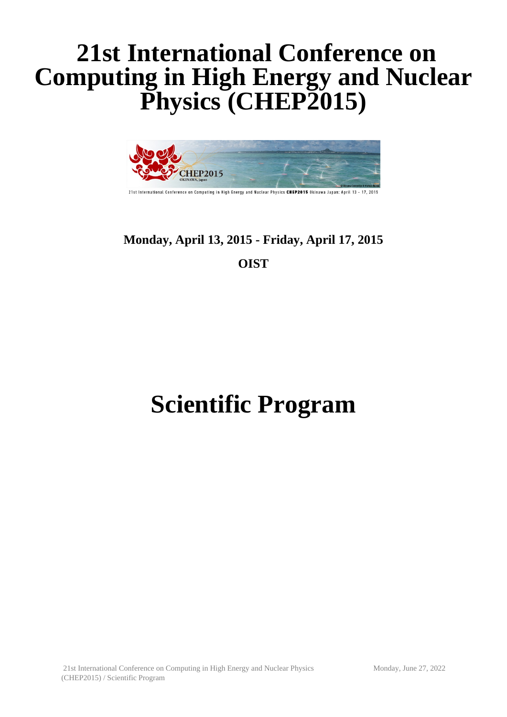## **21st International Conference on Computing in High Energy and Nuclear Physics (CHEP2015)**



21st International Conference on Computing in High Energy and Nuclear Physics CHEP2015 Okinawa Japan: April 13 - 17, 2015

## **Monday, April 13, 2015 - Friday, April 17, 2015 OIST**

# **Scientific Program**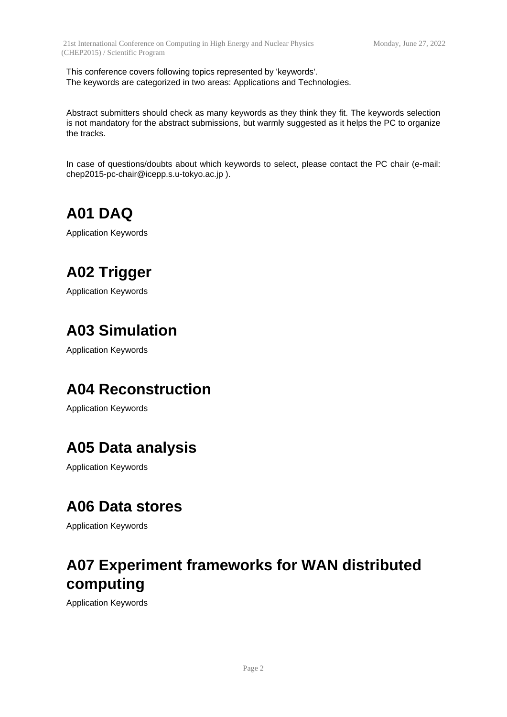This conference covers following topics represented by 'keywords'. The keywords are categorized in two areas: Applications and Technologies.

Abstract submitters should check as many keywords as they think they fit. The keywords selection is not mandatory for the abstract submissions, but warmly suggested as it helps the PC to organize the tracks.

In case of questions/doubts about which keywords to select, please contact the PC chair (e-mail: chep2015-pc-chair@icepp.s.u-tokyo.ac.jp ).

**A01 DAQ**

Application Keywords

## **A02 Trigger**

Application Keywords

## **A03 Simulation**

Application Keywords

#### **A04 Reconstruction**

Application Keywords

## **A05 Data analysis**

Application Keywords

#### **A06 Data stores**

Application Keywords

## **A07 Experiment frameworks for WAN distributed computing**

Application Keywords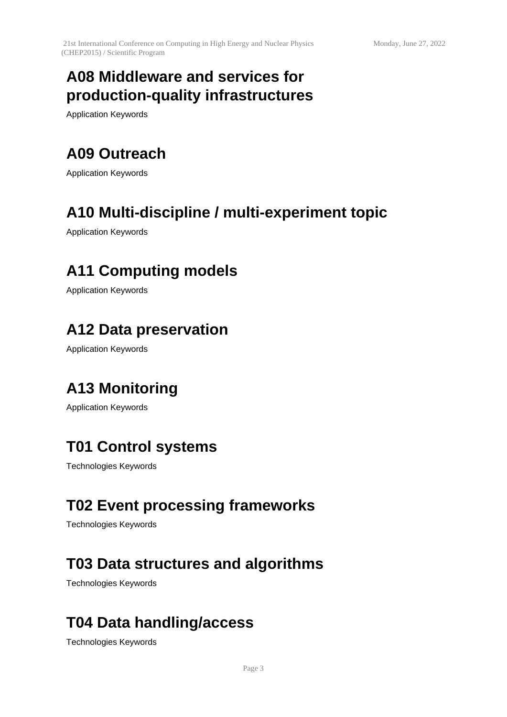## **A08 Middleware and services for production-quality infrastructures**

Application Keywords

## **A09 Outreach**

Application Keywords

#### **A10 Multi-discipline / multi-experiment topic**

Application Keywords

#### **A11 Computing models**

Application Keywords

#### **A12 Data preservation**

Application Keywords

## **A13 Monitoring**

Application Keywords

## **T01 Control systems**

Technologies Keywords

## **T02 Event processing frameworks**

Technologies Keywords

## **T03 Data structures and algorithms**

Technologies Keywords

## **T04 Data handling/access**

Technologies Keywords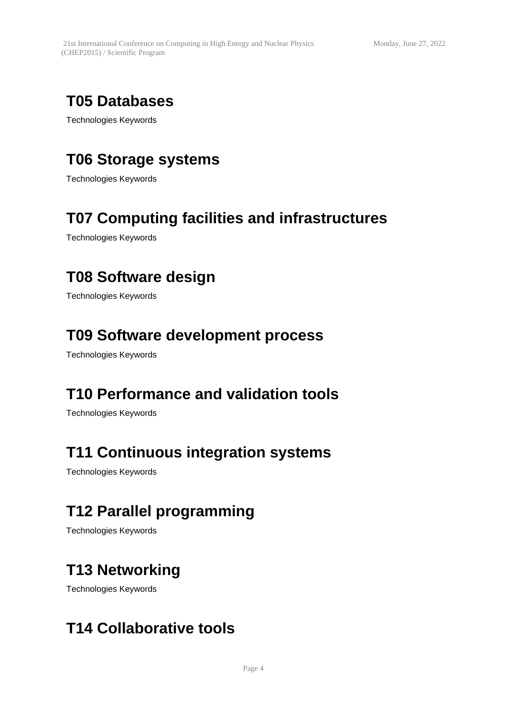## **T05 Databases**

Technologies Keywords

## **T06 Storage systems**

Technologies Keywords

## **T07 Computing facilities and infrastructures**

Technologies Keywords

#### **T08 Software design**

Technologies Keywords

#### **T09 Software development process**

Technologies Keywords

#### **T10 Performance and validation tools**

Technologies Keywords

#### **T11 Continuous integration systems**

Technologies Keywords

## **T12 Parallel programming**

Technologies Keywords

#### **T13 Networking**

Technologies Keywords

#### **T14 Collaborative tools**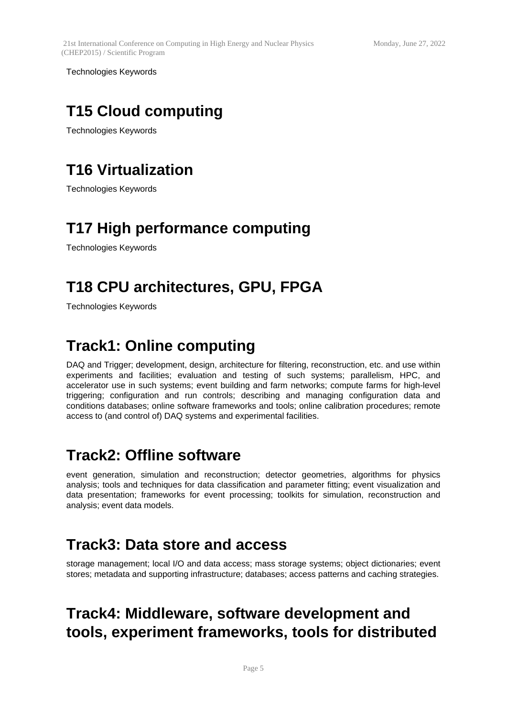Technologies Keywords

## **T15 Cloud computing**

Technologies Keywords

## **T16 Virtualization**

Technologies Keywords

## **T17 High performance computing**

Technologies Keywords

## **T18 CPU architectures, GPU, FPGA**

Technologies Keywords

## **Track1: Online computing**

DAQ and Trigger; development, design, architecture for filtering, reconstruction, etc. and use within experiments and facilities; evaluation and testing of such systems; parallelism, HPC, and accelerator use in such systems; event building and farm networks; compute farms for high-level triggering; configuration and run controls; describing and managing configuration data and conditions databases; online software frameworks and tools; online calibration procedures; remote access to (and control of) DAQ systems and experimental facilities.

#### **Track2: Offline software**

event generation, simulation and reconstruction; detector geometries, algorithms for physics analysis; tools and techniques for data classification and parameter fitting; event visualization and data presentation; frameworks for event processing; toolkits for simulation, reconstruction and analysis; event data models.

## **Track3: Data store and access**

storage management; local I/O and data access; mass storage systems; object dictionaries; event stores; metadata and supporting infrastructure; databases; access patterns and caching strategies.

## **Track4: Middleware, software development and tools, experiment frameworks, tools for distributed**